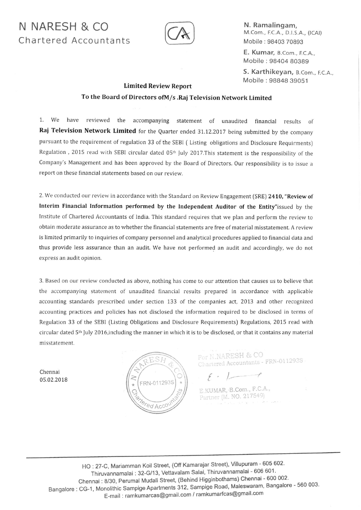## N NARESH & CO Chartered Accountants



N. Ramalingam, M.Com., F.C.A., D.l.S.A., (tCAt) Mobile : 98403 70893

E. Kumar, B.Com., F.C.A., Mobile : 98404 80389

S. Karthikeyan, B.Com., F.C.A., Mobile : 98848 39051

## Limited Review Report

## To the Board of Directors of M/s . Raj Television Network Limited

1. we have reviewed the accompanying statement of unaudited financial results of Raj Television Network Limited for the Quarter ended 31.12.2017 being submitted by the company pursuant to the requirement of regulation 33 of the SEBI (Listing obligations and Disclosure Requirments) Regulation , 2015 read with SEBI circular dated 05<sup>th</sup> July 2017. This statement is the responsibility of the Company's Management and has been approved by the Board of Directors. Our responsibility is to issue a report on these financial statements based on our review.

2. We conducted our review in accordance with the Standard on Review Engagement (SRE) 2410, "Review of Interim Financial Information performed by the Independent Auditor of the Entity"issued by the Institute of Chartered Accountants of lndia. This standard requires that we plan and perform the review ro obtain moderate assurance as to whether the financial statements are free of material misstatement. A review is limited primarily to inquiries of company personnel and analytical procedures applied to financial data and thus provide less assurance than an audit. We have not performed an audit and accordingly, we do not express an audit opinion.

3. Based on our review conducted as above, nothing has come to our attention that causes us to believe that the accompanying statement of unaudited financial results prepared in accordance with applicable accounting standards prescribed under section 133 of the companies act, 2013 and other recognized accounting practices and policies has not disclosed the information required to be disclosed in terms of Regulation 33 of the SEBI (Listing obligations and Disclosure Requirements) Regulations, 2015 read with circular dated 5<sup>th</sup> July 2016, including the manner in which it is to be disclosed, or that it contains any material misstatement.

Chennai <sup>0</sup>5.02.2018



For N.NARESH & CO For N.NAKESH & CO<br>Chartered Accountants - FRN-011293S

 $\epsilon$  - 1

E.KUMAR, B.Com., F.C.A., Partner (M. NO. 217549)